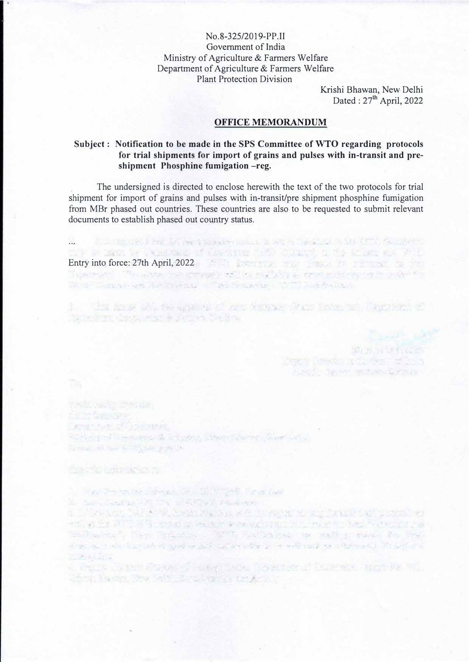No.8-325/2019-PP.II Govemment of India Ministry of Agriculture & Farmers Welfare Department of Agriculture & Farmers Welfare Plant Protection Division

> Krishi Bhawan, New Delhi Dated :  $27<sup>th</sup>$  April, 2022

> > Mountain Study Co

Description of the control of the s A SET LABOR OPPORTUNITIES

## **OFFICE MEMORANDUM**

## **Subject : Notification to be made in the SPS Committee of WTO regarding protocols for trial shipments for import of grains and pulses with in-transit and preshipment Phosphine fumigation -reg.**

The undersigned is directed to enclose herewith the text of the two protocols for trial shipment for import of grains and pulses with in-transit/pre shipment phosphine fumigation from MBr phased out countries. These countries are also to be requested to submit relevant documents to establish phased out country status.

...

1. Cha sange who has against 10 men kangang Stam Sales and Dancelors of

We're "Tomber was her thoughts" - "See Nonsering" - "NT" Deci British"

STORIES DAY & Bac. Extragal Stories and the second to select the State Canada Control of

Entry into force: 27th April, 2022

Northern Mercury's Partner Children

Manufacturer 21-221-0000 Stevenson in equipments in Europe, Johnson Stevenson and all Special is not special product

these for primariles, cut

T.

1. Short Pennis the Survivors of A. 10 Million Royal Card 20 September 2019 Street of APD (2014) and Person

1. D'istance, Marsh II, Anton Marsh, etc. de regen en anglikant dan provincie en this is the RTC 2019 consider which were upseted but the fact that Forestate the motion can have recontain that it that away as with a case for the more as in the fact art of wall what competed the primarily and completed in the series **TOWN GO** 

. There is the Street County from the County of Esperance they be the added the company with the way with the standard and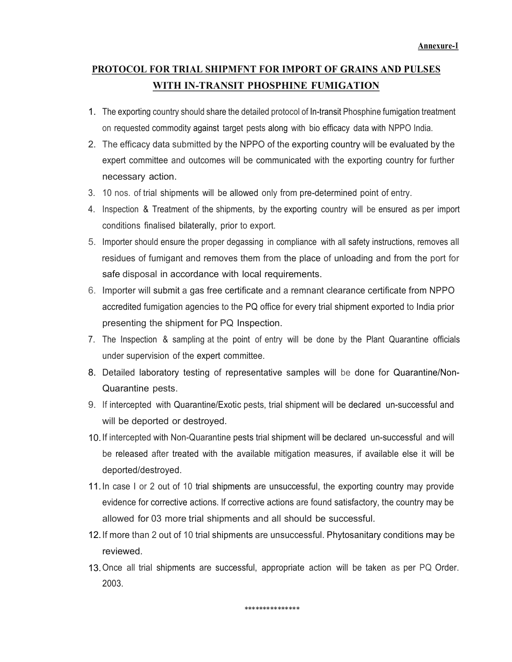## PROTOCOL FOR TRIAL SHIPMFNT FOR IMPORT OF GRAINS AND PULSES WITH IN-TRANSIT PHOSPHINE FUMIGATION

- 1. The exporting country should share the detailed protocol of In-transit Phosphine fumigation treatment on requested commodity against target pests along with bio efficacy data with NPPO India.
- 2. The efficacy data submitted by the NPPO of the exporting country will be evaluated by the expert committee and outcomes will be communicated with the exporting country for further necessary action.
- 3. 10 nos. of trial shipments will be allowed only from pre-determined point of entry.
- 4. Inspection & Treatment of the shipments, by the exporting country will be ensured as per import conditions finalised bilaterally, prior to export.
- 5. Importer should ensure the proper degassing in compliance with all safety instructions, removes all residues of fumigant and removes them from the place of unloading and from the port for safe disposal in accordance with local requirements.
- 6. Importer will submit a gas free certificate and a remnant clearance certificate from NPPO accredited fumigation agencies to the PQ office for every trial shipment exported to India prior presenting the shipment for PQ Inspection.
- 7. The Inspection & sampling at the point of entry will be done by the Plant Quarantine officials under supervision of the expert committee.
- 8. Detailed laboratory testing of representative samples will be done for Quarantine/Non-Quarantine pests.
- 9. If intercepted with Quarantine/Exotic pests, trial shipment will be declared un-successful and will be deported or destroyed.
- 10. If intercepted with Non-Quarantine pests trial shipment will be declared un-successful and will be released after treated with the available mitigation measures, if available else it will be deported/destroyed.
- 11. In case I or 2 out of 10 trial shipments are unsuccessful, the exporting country may provide evidence for corrective actions. lf corrective actions are found satisfactory, the country may be allowed for 03 more trial shipments and all should be successful.
- 12. If more than 2 out of 10 trial shipments are unsuccessful. Phytosanitary conditions may be reviewed.
- 13. Once all trial shipments are successful, appropriate action will be taken as per PQ Order. 2003.

\*\*\*\*\*\*\*\*\*\*\*\*\*\*\*